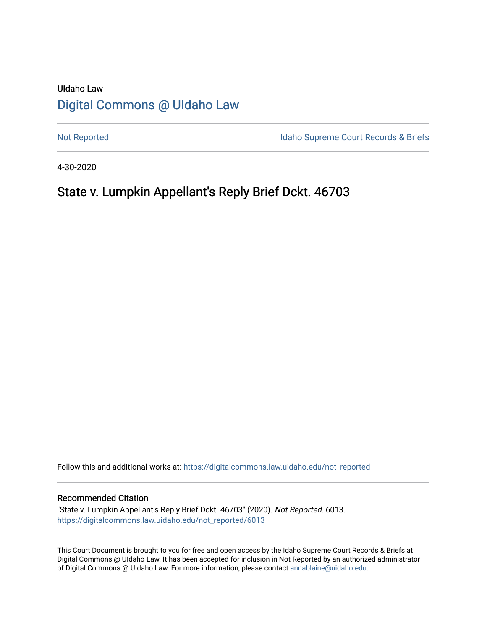# UIdaho Law [Digital Commons @ UIdaho Law](https://digitalcommons.law.uidaho.edu/)

[Not Reported](https://digitalcommons.law.uidaho.edu/not_reported) **Idaho Supreme Court Records & Briefs** 

4-30-2020

# State v. Lumpkin Appellant's Reply Brief Dckt. 46703

Follow this and additional works at: [https://digitalcommons.law.uidaho.edu/not\\_reported](https://digitalcommons.law.uidaho.edu/not_reported?utm_source=digitalcommons.law.uidaho.edu%2Fnot_reported%2F6013&utm_medium=PDF&utm_campaign=PDFCoverPages) 

#### Recommended Citation

"State v. Lumpkin Appellant's Reply Brief Dckt. 46703" (2020). Not Reported. 6013. [https://digitalcommons.law.uidaho.edu/not\\_reported/6013](https://digitalcommons.law.uidaho.edu/not_reported/6013?utm_source=digitalcommons.law.uidaho.edu%2Fnot_reported%2F6013&utm_medium=PDF&utm_campaign=PDFCoverPages)

This Court Document is brought to you for free and open access by the Idaho Supreme Court Records & Briefs at Digital Commons @ UIdaho Law. It has been accepted for inclusion in Not Reported by an authorized administrator of Digital Commons @ UIdaho Law. For more information, please contact [annablaine@uidaho.edu](mailto:annablaine@uidaho.edu).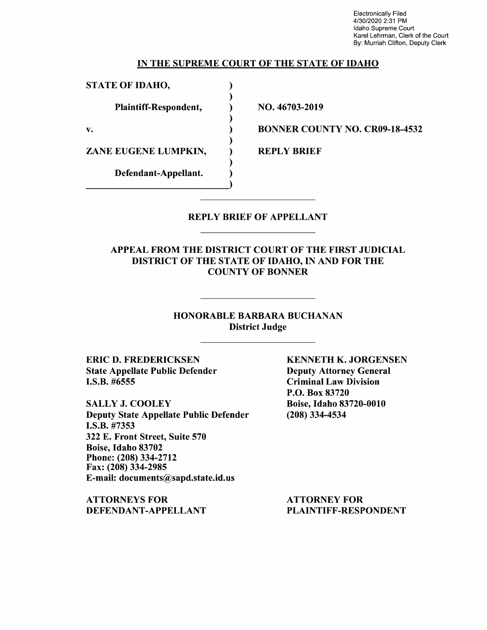Electronically Filed 4/30/2020 2:31 PM Idaho Supreme Court Karel Lehrman, Clerk of the Court By: Murriah Clifton, Deputy Clerk

### IN THE SUPREME COURT OF THE STATE OF IDAHO

) ) ) ) ) ) ) ) )

STATE OF IDAHO,

Plaintiff-Respondent,

v.

ZANE EUGENE LUMPKIN,

Defendant-Appellant.

NO. 46703-2019

BONNER COUNTY NO. CR09-18-4532

REPLY BRIEF

### REPLY BRIEF OF APPELLANT

## APPEAL FROM THE DISTRICT COURT OF THE FIRST JUDICIAL DISTRICT OF THE STATE OF IDAHO, IN AND FOR THE COUNTY OF BONNER

### HONORABLE BARBARA BUCHANAN District Judge

ERIC D. FREDERICKSEN State Appellate Public Defender I.S.B. #6555

SALLY J. COOLEY Deputy State Appellate Public Defender **I.S.B.** #7353 322 E. Front Street, Suite 570 Boise, Idaho 83702 Phone:(208)334-2712 Fax: (208) 334-2985 E-mail: documents@sapd.state.id.us

**ATTORNEYS FOR DEFENDANT-APPELLANT**  **KENNETH K. JORGENSEN**  Deputy Attorney General Criminal Law Division P.O. Box 83720 Boise, Idaho 83720-0010 (208) 334-4534

ATTORNEY FOR PLAINTIFF-RESPONDENT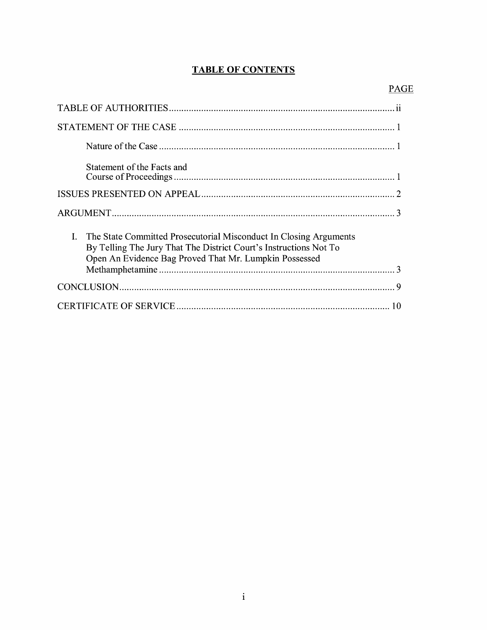## **TABLE OF CONTENTS**

| Statement of the Facts and                                                                                                                                                                          |
|-----------------------------------------------------------------------------------------------------------------------------------------------------------------------------------------------------|
|                                                                                                                                                                                                     |
|                                                                                                                                                                                                     |
| I. The State Committed Prosecutorial Misconduct In Closing Arguments<br>By Telling The Jury That The District Court's Instructions Not To<br>Open An Evidence Bag Proved That Mr. Lumpkin Possessed |
|                                                                                                                                                                                                     |
| 10                                                                                                                                                                                                  |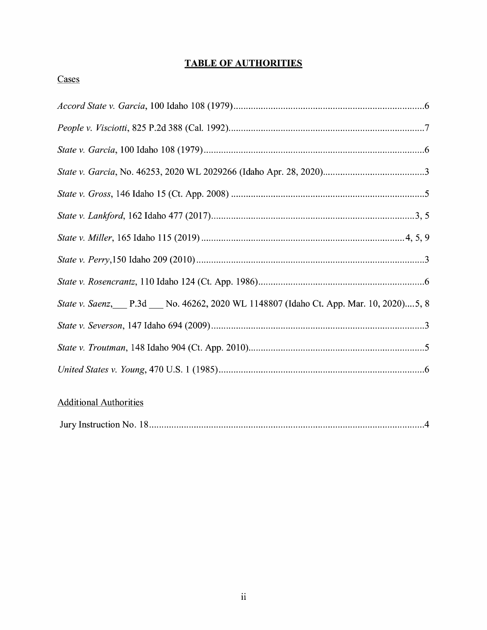## **TABLE OF AUTHORITIES**

## Cases

| State v. Saenz, P.3d __ No. 46262, 2020 WL 1148807 (Idaho Ct. App. Mar. 10, 2020)5, 8 |
|---------------------------------------------------------------------------------------|
|                                                                                       |
|                                                                                       |
|                                                                                       |
|                                                                                       |

## Additional Authorities

|--|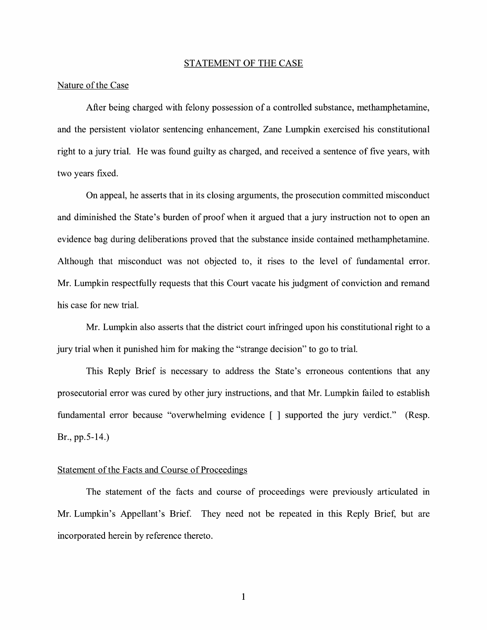#### STATEMENT OF THE CASE

### Nature of the Case

After being charged with felony possession of a controlled substance, methamphetamine, and the persistent violator sentencing enhancement, Zane Lumpkin exercised his constitutional right to a jury trial. He was found guilty as charged, and received a sentence of five years, with two years fixed.

On appeal, he asserts that in its closing arguments, the prosecution committed misconduct and diminished the State's burden of proof when it argued that a jury instruction not to open an evidence bag during deliberations proved that the substance inside contained methamphetamine. Although that misconduct was not objected to, it rises to the level of fundamental error. Mr. Lumpkin respectfully requests that this Court vacate his judgment of conviction and remand his case for new trial.

Mr. Lumpkin also asserts that the district court infringed upon his constitutional right to a jury trial when it punished him for making the "strange decision" to go to trial.

This Reply Brief is necessary to address the State's erroneous contentions that any prosecutorial error was cured by other jury instructions, and that Mr. Lumpkin failed to establish fundamental error because "overwhelming evidence [ ] supported the jury verdict." (Resp. Br., pp.5-14.)

### Statement of the Facts and Course of Proceedings

The statement of the facts and course of proceedings were previously articulated in Mr. Lumpkin's Appellant's Brief. They need not be repeated in this Reply Brief, but are incorporated herein by reference thereto.

1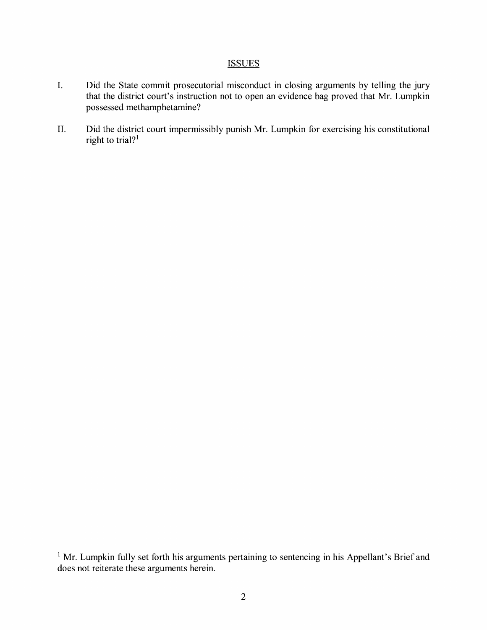## **ISSUES**

- I. Did the State commit prosecutorial misconduct in closing arguments by telling the jury that the district court's instruction not to open an evidence bag proved that Mr. Lumpkin possessed methamphetamine?
- II. Did the district court impermissibly punish Mr. Lumpkin for exercising his constitutional right to trial?<sup>1</sup>

 $1$  Mr. Lumpkin fully set forth his arguments pertaining to sentencing in his Appellant's Brief and does not reiterate these arguments herein.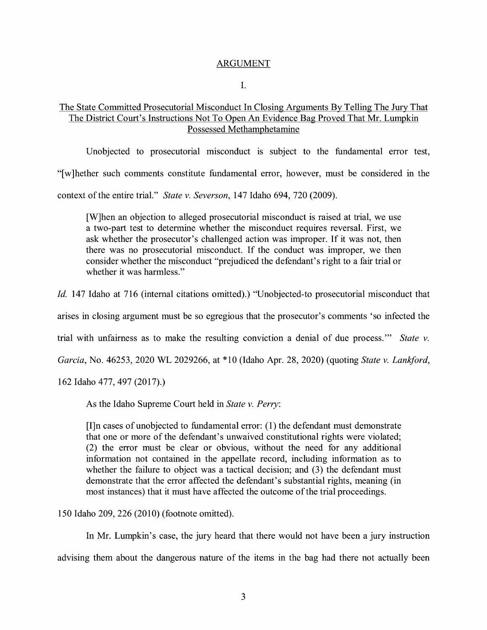### ARGUMENT

I.

## The State Committed Prosecutorial Misconduct In Closing Arguments By Telling The Jury That The District Court's Instructions Not To Open An Evidence Bag Proved That Mr. Lumpkin Possessed Methamphetamine

Unobjected to prosecutorial misconduct is subject to the fundamental error test,

"[ w ]hether such comments constitute fundamental error, however, must be considered in the

context of the entire trial." *State v. Severson,* 147 Idaho 694, 720 (2009).

[W]hen an objection to alleged prosecutorial misconduct is raised at trial, we use a two-part test to determine whether the misconduct requires reversal. First, we ask whether the prosecutor's challenged action was improper. If it was not, then there was no prosecutorial misconduct. If the conduct was improper, we then consider whether the misconduct "prejudiced the defendant's right to a fair trial or whether it was harmless."

*Id.* 147 Idaho at 716 (internal citations omitted).) "Unobjected-to prosecutorial misconduct that

arises in closing argument must be so egregious that the prosecutor's comments 'so infected the

trial with unfairness as to make the resulting conviction a denial of due process."' *State v.* 

*Garcia,* No. 46253, 2020 WL 2029266, at \* 10 (Idaho Apr. 28, 2020) ( quoting *State v. Lanliford,* 

162 Idaho 477, 497 (2017).)

As the Idaho Supreme Court held in *State v. Perry:* 

 $[I]$ n cases of unobjected to fundamental error:  $(1)$  the defendant must demonstrate that one or more of the defendant's unwaived constitutional rights were violated; (2) the error must be clear or obvious, without the need for any additional information not contained in the appellate record, including information as to whether the failure to object was a tactical decision; and (3) the defendant must demonstrate that the error affected the defendant's substantial rights, meaning ( in most instances) that it must have affected the outcome of the trial proceedings.

150 Idaho 209, 226 (2010) (footnote omitted).

In Mr. Lumpkin's case, the jury heard that there would not have been a jury instruction advising them about the dangerous nature of the items in the bag had there not actually been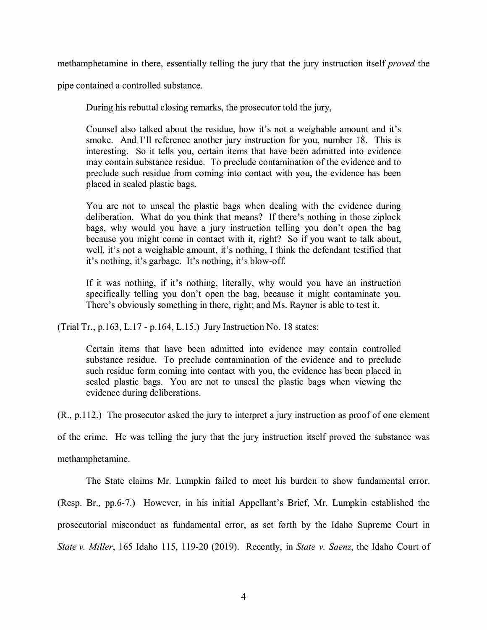methamphetamine in there, essentially telling the jury that the jury instruction itself *proved* the

pipe contained a controlled substance.

During his rebuttal closing remarks, the prosecutor told the jury,

Counsel also talked about the residue, how it's not a weighable amount and it's smoke. And I'll reference another jury instruction for you, number 18. This is interesting. So it tells you, certain items that have been admitted into evidence may contain substance residue. To preclude contamination of the evidence and to preclude such residue from coming into contact with you, the evidence has been placed in sealed plastic bags.

You are not to unseal the plastic bags when dealing with the evidence during deliberation. What do you think that means? If there's nothing in those ziplock bags, why would you have a jury instruction telling you don't open the bag because you might come in contact with it, right? So if you want to talk about, well, it's not a weighable amount, it's nothing, I think the defendant testified that it's nothing, it's garbage. It's nothing, it's blow-off

If it was nothing, if it's nothing, literally, why would you have an instruction specifically telling you don't open the bag, because it might contaminate you. There's obviously something in there, right; and Ms. Rayner is able to test it.

(Trial Tr., p.163, L.17 - p.164, L.15.) Jury Instruction No. 18 states:

Certain items that have been admitted into evidence may contain controlled substance residue. To preclude contamination of the evidence and to preclude such residue form coming into contact with you, the evidence has been placed in sealed plastic bags. You are not to unseal the plastic bags when viewing the evidence during deliberations.

(R., p.112.) The prosecutor asked the jury to interpret a jury instruction as proof of one element

of the crime. He was telling the jury that the jury instruction itself proved the substance was

methamphetamine.

The State claims Mr. Lumpkin failed to meet his burden to show fundamental error.

(Resp. Br., pp.6-7.) However, in his initial Appellant's Brief, Mr. Lumpkin established the

prosecutorial misconduct as fundamental error, as set forth by the Idaho Supreme Court in

*State v. Miller,* 165 Idaho 115, 119-20 (2019). Recently, in *State v. Saenz,* the Idaho Court of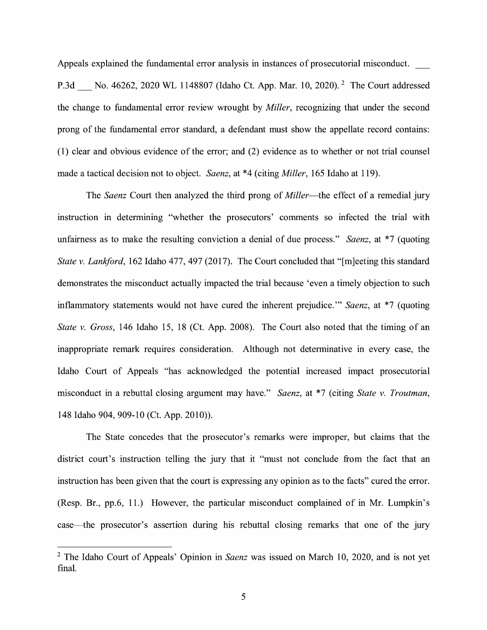Appeals explained the fundamental error analysis in instances of prosecutorial misconduct. \_

P.3d No. 46262, 2020 WL 1148807 (Idaho Ct. App. Mar. 10, 2020). <sup>2</sup> The Court addressed the change to fundamental error review wrought by *Miller,* recognizing that under the second prong of the fundamental error standard, a defendant must show the appellate record contains: (1) clear and obvious evidence of the error; and (2) evidence as to whether or not trial counsel made a tactical decision not to object. *Saenz,* at \*4 ( citing *Miller,* 165 Idaho at 119).

The *Saenz* Court then analyzed the third prong of *Miller-the* effect of a remedial jury instruction in determining "whether the prosecutors' comments so infected the trial with unfairness as to make the resulting conviction a denial of due process." *Saenz*, at \*7 (quoting *State v. Lankford*, 162 Idaho 477, 497 (2017). The Court concluded that "[m]eeting this standard demonstrates the misconduct actually impacted the trial because 'even a timely objection to such inflammatory statements would not have cured the inherent prejudice."' *Saenz,* at \*7 ( quoting *State v. Gross,* 146 Idaho 15, 18 (Ct. App. 2008). The Court also noted that the timing of an inappropriate remark requires consideration. Although not determinative in every case, the Idaho Court of Appeals "has acknowledged the potential increased impact prosecutorial misconduct in a rebuttal closing argument may have." *Saenz,* at \*7 (citing *State v. Troutman,*  148 Idaho 904, 909-10 (Ct. App. 2010)).

The State concedes that the prosecutor's remarks were improper, but claims that the district court's instruction telling the jury that it "must not conclude from the fact that an instruction has been given that the court is expressing any opinion as to the facts" cured the error. (Resp. Br., pp.6, 11.) However, the particular misconduct complained of in Mr. Lumpkin's case—the prosecutor's assertion during his rebuttal closing remarks that one of the jury

<sup>2</sup>The Idaho Court of Appeals' Opinion in *Saenz* was issued on March 10, 2020, and is not yet final.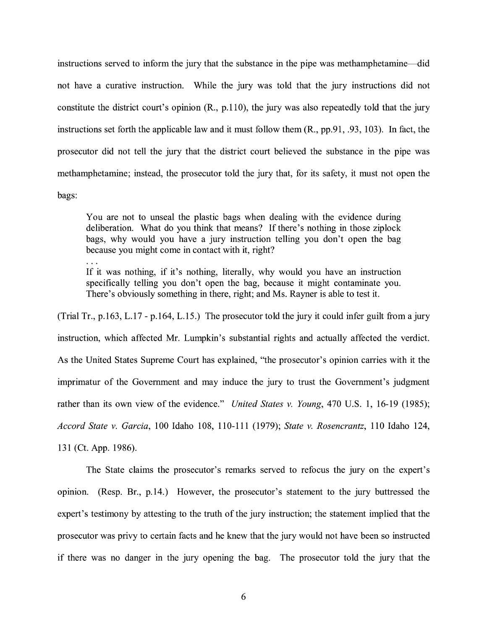instructions served to inform the jury that the substance in the pipe was methamphetamine-did not have a curative instruction. While the jury was told that the jury instructions did not constitute the district court's opinion (R., p.110), the jury was also repeatedly told that the jury instructions set forth the applicable law and it must follow them (R., pp.91, .93, 103). In fact, the prosecutor did not tell the jury that the district court believed the substance in the pipe was methamphetamine; instead, the prosecutor told the jury that, for its safety, it must not open the bags:

You are not to unseal the plastic bags when dealing with the evidence during deliberation. What do you think that means? If there's nothing in those ziplock bags, why would you have a jury instruction telling you don't open the bag because you might come in contact with it, right?

If it was nothing, if it's nothing, literally, why would you have an instruction specifically telling you don't open the bag, because it might contaminate you. There's obviously something in there, right; and Ms. Rayner is able to test it.

(Trial Tr., p.163, L.17 - p.164, L.15.) The prosecutor told the jury it could infer guilt from a jury instruction, which affected Mr. Lumpkin's substantial rights and actually affected the verdict. As the United States Supreme Court has explained, "the prosecutor's opinion carries with it the imprimatur of the Government and may induce the jury to trust the Government's judgment rather than its own view of the evidence." *United States v. Young,* 470 U.S. 1, 16-19 (1985); *Accord State v. Garcia,* 100 Idaho 108, 110-111 (1979); *State v. Rosencrantz,* 110 Idaho 124, 131 (Ct. App. 1986).

The State claims the prosecutor's remarks served to refocus the jury on the expert's opinion. (Resp. Br., p.14.) However, the prosecutor's statement to the jury buttressed the expert's testimony by attesting to the truth of the jury instruction; the statement implied that the prosecutor was privy to certain facts and he knew that the jury would not have been so instructed if there was no danger in the jury opening the bag. The prosecutor told the jury that the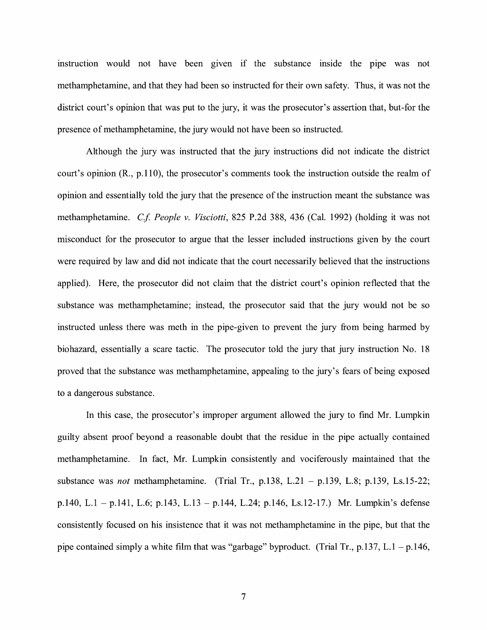instruction would not have been given if the substance inside the pipe was not methamphetamine, and that they had been so instructed for their own safety. Thus, it was not the district court's opinion that was put to the jury, it was the prosecutor's assertion that, but-for the presence of methamphetamine, the jury would not have been so instructed.

Although the jury was instructed that the jury instructions did not indicate the district court's opinion (R., p.110), the prosecutor's comments took the instruction outside the realm of opinion and essentially told the jury that the presence of the instruction meant the substance was methamphetamine. *Cf People v. Visciotti,* 825 P.2d 388, 436 (Cal. 1992) (holding it was not misconduct for the prosecutor to argue that the lesser included instructions given by the court were required by law and did not indicate that the court necessarily believed that the instructions applied). Here, the prosecutor did not claim that the district court's opinion reflected that the substance was methamphetamine; instead, the prosecutor said that the jury would not be so instructed unless there was meth in the pipe-given to prevent the jury from being harmed by biohazard, essentially a scare tactic. The prosecutor told the jury that jury instruction No. 18 proved that the substance was methamphetamine, appealing to the jury's fears of being exposed to a dangerous substance.

In this case, the prosecutor's improper argument allowed the jury to find Mr. Lumpkin guilty absent proof beyond a reasonable doubt that the residue in the pipe actually contained methamphetamine. In fact, Mr. Lumpkin consistently and vociferously maintained that the substance was *not* methamphetamine. (Trial Tr., p.138, L.21 - p.139, L.8; p.139, Ls.15-22; p.140, L.1 - p.141, L.6; p.143, L.13 - p.144, L.24; p.146, Ls.12-17.) Mr. Lumpkin's defense consistently focused on his insistence that it was not methamphetamine in the pipe, but that the pipe contained simply a white film that was "garbage" byproduct. (Trial Tr., p.137, L.1 – p.146,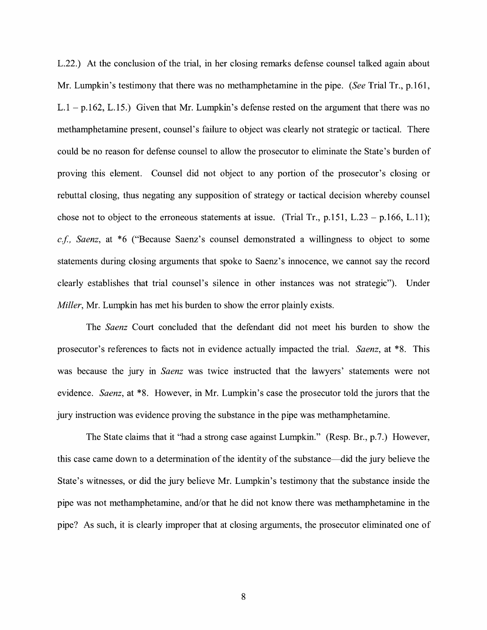L.22.) At the conclusion of the trial, in her closing remarks defense counsel talked again about Mr. Lumpkin's testimony that there was no methamphetamine in the pipe. *(See* Trial Tr., p.161,  $L.1 - p.162$ ,  $L.15$ .) Given that Mr. Lumpkin's defense rested on the argument that there was no methamphetamine present, counsel's failure to object was clearly not strategic or tactical. There could be no reason for defense counsel to allow the prosecutor to eliminate the State's burden of proving this element. Counsel did not object to any portion of the prosecutor's closing or rebuttal closing, thus negating any supposition of strategy or tactical decision whereby counsel chose not to object to the erroneous statements at issue. (Trial Tr.,  $p.151$ , L.23 –  $p.166$ , L.11); *cf, Saenz,* at \*6 ("Because Saenz's counsel demonstrated a willingness to object to some statements during closing arguments that spoke to Saenz's innocence, we cannot say the record clearly establishes that trial counsel's silence in other instances was not strategic"). Under *Miller*, Mr. Lumpkin has met his burden to show the error plainly exists.

The *Saenz* Court concluded that the defendant did not meet his burden to show the prosecutor's references to facts not in evidence actually impacted the trial. *Saenz,* at \*8. This was because the jury in *Saenz* was twice instructed that the lawyers' statements were not evidence. *Saenz,* at \*8. However, in Mr. Lumpkin's case the prosecutor told the jurors that the jury instruction was evidence proving the substance in the pipe was methamphetamine.

The State claims that it "had a strong case against Lumpkin." (Resp. Br., p.7.) However, this case came down to a determination of the identity of the substance-did the jury believe the State's witnesses, or did the jury believe Mr. Lumpkin's testimony that the substance inside the pipe was not methamphetamine, and/or that he did not know there was methamphetamine in the pipe? As such, it is clearly improper that at closing arguments, the prosecutor eliminated one of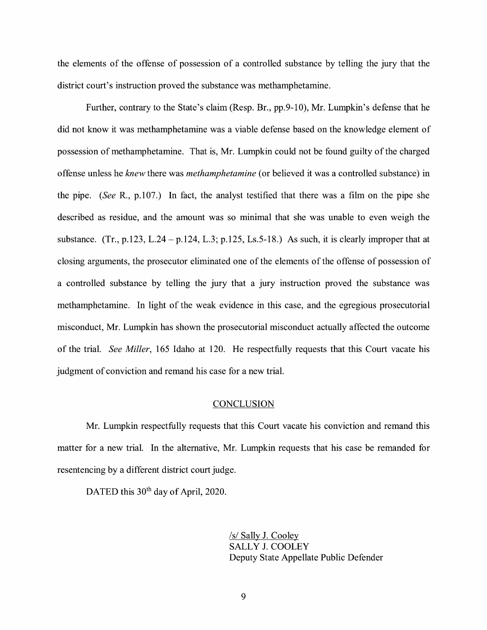the elements of the offense of possession of a controlled substance by telling the jury that the district court's instruction proved the substance was methamphetamine.

Further, contrary to the State's claim (Resp. Br., pp.9-10), Mr. Lumpkin's defense that he did not know it was methamphetamine was a viable defense based on the knowledge element of possession of methamphetamine. That is, Mr. Lumpkin could not be found guilty of the charged offense unless he *knew* there was *methamphetamine* ( or believed it was a controlled substance) in the pipe. *(See* R., p.107.) In fact, the analyst testified that there was a film on the pipe she described as residue, and the amount was so minimal that she was unable to even weigh the substance. (Tr., p.123, L.24 – p.124, L.3; p.125, Ls.5-18.) As such, it is clearly improper that at closing arguments, the prosecutor eliminated one of the elements of the offense of possession of a controlled substance by telling the jury that a jury instruction proved the substance was methamphetamine. In light of the weak evidence in this case, and the egregious prosecutorial misconduct, Mr. Lumpkin has shown the prosecutorial misconduct actually affected the outcome of the trial. *See Miller,* 165 Idaho at 120. He respectfully requests that this Court vacate his judgment of conviction and remand his case for a new trial.

#### **CONCLUSION**

Mr. Lumpkin respectfully requests that this Court vacate his conviction and remand this matter for a new trial. In the alternative, Mr. Lumpkin requests that his case be remanded for resentencing by a different district court judge.

DATED this 30<sup>th</sup> day of April, 2020.

/s/ Sally J. Cooley SALLY J. COOLEY Deputy State Appellate Public Defender

9